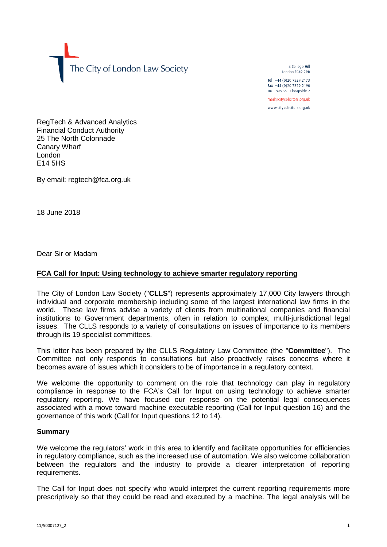The City of London Law Society

4 College Hill London FC4R 2RB

Tel +44 (0)20 7329 2173 Fax +44 (0)20 7329 2190 DX  $98936$  - Cheapside 2 mail@citysolicitors.org.uk

www.citysolicitors.org.uk

RegTech & Advanced Analytics Financial Conduct Authority 25 The North Colonnade Canary Wharf London  $F14$  5HS

By email: regtech@fca.org.uk

18 June 2018

Dear Sir or Madam

# **FCA Call for Input: Using technology to achieve smarter regulatory reporting**

The City of London Law Society ("**CLLS**") represents approximately 17,000 City lawyers through individual and corporate membership including some of the largest international law firms in the world. These law firms advise a variety of clients from multinational companies and financial institutions to Government departments, often in relation to complex, multi-jurisdictional legal issues. The CLLS responds to a variety of consultations on issues of importance to its members through its 19 specialist committees.

This letter has been prepared by the CLLS Regulatory Law Committee (the "**Committee**"). The Committee not only responds to consultations but also proactively raises concerns where it becomes aware of issues which it considers to be of importance in a regulatory context.

We welcome the opportunity to comment on the role that technology can play in regulatory compliance in response to the FCA's Call for Input on using technology to achieve smarter regulatory reporting. We have focused our response on the potential legal consequences associated with a move toward machine executable reporting (Call for Input question 16) and the governance of this work (Call for Input questions 12 to 14).

## **Summary**

We welcome the regulators' work in this area to identify and facilitate opportunities for efficiencies in regulatory compliance, such as the increased use of automation. We also welcome collaboration between the regulators and the industry to provide a clearer interpretation of reporting requirements.

The Call for Input does not specify who would interpret the current reporting requirements more prescriptively so that they could be read and executed by a machine. The legal analysis will be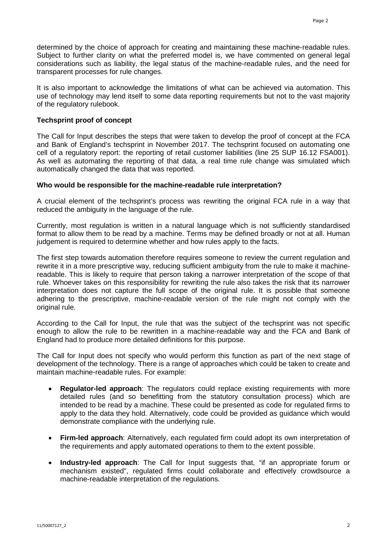determined by the choice of approach for creating and maintaining these machine-readable rules. Subject to further clarity on what the preferred model is, we have commented on general legal considerations such as liability, the legal status of the machine-readable rules, and the need for transparent processes for rule changes.

It is also important to acknowledge the limitations of what can be achieved via automation. This use of technology may lend itself to some data reporting requirements but not to the vast majority of the regulatory rulebook.

# **Techsprint proof of concept**

The Call for Input describes the steps that were taken to develop the proof of concept at the FCA and Bank of England's techsprint in November 2017. The techsprint focused on automating one cell of a regulatory report: the reporting of retail customer liabilities (line 25 SUP 16.12 FSA001). As well as automating the reporting of that data, a real time rule change was simulated which automatically changed the data that was reported.

## **Who would be responsible for the machine-readable rule interpretation?**

A crucial element of the techsprint's process was rewriting the original FCA rule in a way that reduced the ambiguity in the language of the rule.

Currently, most regulation is written in a natural language which is not sufficiently standardised format to allow them to be read by a machine. Terms may be defined broadly or not at all. Human judgement is required to determine whether and how rules apply to the facts.

The first step towards automation therefore requires someone to review the current regulation and rewrite it in a more prescriptive way, reducing sufficient ambiguity from the rule to make it machinereadable. This is likely to require that person taking a narrower interpretation of the scope of that rule. Whoever takes on this responsibility for rewriting the rule also takes the risk that its narrower interpretation does not capture the full scope of the original rule. It is possible that someone adhering to the prescriptive, machine-readable version of the rule might not comply with the original rule.

According to the Call for Input, the rule that was the subject of the techsprint was not specific enough to allow the rule to be rewritten in a machine-readable way and the FCA and Bank of England had to produce more detailed definitions for this purpose.

The Call for Input does not specify who would perform this function as part of the next stage of development of the technology. There is a range of approaches which could be taken to create and maintain machine-readable rules. For example:

- **Regulator-led approach**: The regulators could replace existing requirements with more detailed rules (and so benefitting from the statutory consultation process) which are intended to be read by a machine. These could be presented as code for regulated firms to apply to the data they hold. Alternatively, code could be provided as guidance which would demonstrate compliance with the underlying rule.
- **Firm-led approach**: Alternatively, each regulated firm could adopt its own interpretation of the requirements and apply automated operations to them to the extent possible.
- **Industry-led approach**: The Call for Input suggests that, "if an appropriate forum or mechanism existed", regulated firms could collaborate and effectively crowdsource a machine-readable interpretation of the regulations.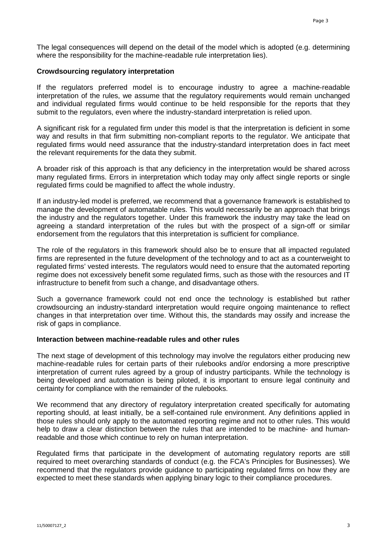The legal consequences will depend on the detail of the model which is adopted (e.g. determining where the responsibility for the machine-readable rule interpretation lies).

## **Crowdsourcing regulatory interpretation**

If the regulators preferred model is to encourage industry to agree a machine-readable interpretation of the rules, we assume that the regulatory requirements would remain unchanged and individual regulated firms would continue to be held responsible for the reports that they submit to the regulators, even where the industry-standard interpretation is relied upon.

A significant risk for a regulated firm under this model is that the interpretation is deficient in some way and results in that firm submitting non-compliant reports to the regulator. We anticipate that regulated firms would need assurance that the industry-standard interpretation does in fact meet the relevant requirements for the data they submit.

A broader risk of this approach is that any deficiency in the interpretation would be shared across many regulated firms. Errors in interpretation which today may only affect single reports or single regulated firms could be magnified to affect the whole industry.

If an industry-led model is preferred, we recommend that a governance framework is established to manage the development of automatable rules. This would necessarily be an approach that brings the industry and the regulators together. Under this framework the industry may take the lead on agreeing a standard interpretation of the rules but with the prospect of a sign-off or similar endorsement from the regulators that this interpretation is sufficient for compliance.

The role of the regulators in this framework should also be to ensure that all impacted regulated firms are represented in the future development of the technology and to act as a counterweight to regulated firms' vested interests. The regulators would need to ensure that the automated reporting regime does not excessively benefit some regulated firms, such as those with the resources and IT infrastructure to benefit from such a change, and disadvantage others.

Such a governance framework could not end once the technology is established but rather crowdsourcing an industry-standard interpretation would require ongoing maintenance to reflect changes in that interpretation over time. Without this, the standards may ossify and increase the risk of gaps in compliance.

## **Interaction between machine-readable rules and other rules**

The next stage of development of this technology may involve the regulators either producing new machine-readable rules for certain parts of their rulebooks and/or endorsing a more prescriptive interpretation of current rules agreed by a group of industry participants. While the technology is being developed and automation is being piloted, it is important to ensure legal continuity and certainty for compliance with the remainder of the rulebooks.

We recommend that any directory of regulatory interpretation created specifically for automating reporting should, at least initially, be a self-contained rule environment. Any definitions applied in those rules should only apply to the automated reporting regime and not to other rules. This would help to draw a clear distinction between the rules that are intended to be machine- and humanreadable and those which continue to rely on human interpretation.

Regulated firms that participate in the development of automating regulatory reports are still required to meet overarching standards of conduct (e.g. the FCA's Principles for Businesses). We recommend that the regulators provide guidance to participating regulated firms on how they are expected to meet these standards when applying binary logic to their compliance procedures.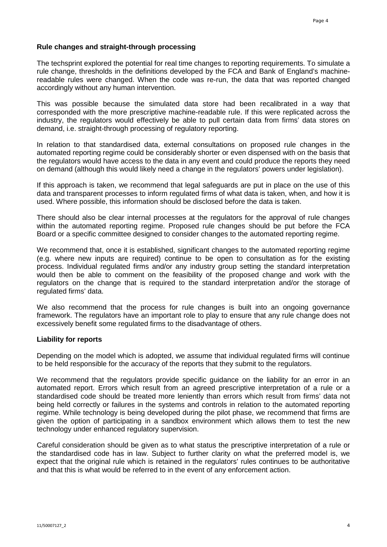# **Rule changes and straight-through processing**

The techsprint explored the potential for real time changes to reporting requirements. To simulate a rule change, thresholds in the definitions developed by the FCA and Bank of England's machinereadable rules were changed. When the code was re-run, the data that was reported changed accordingly without any human intervention.

This was possible because the simulated data store had been recalibrated in a way that corresponded with the more prescriptive machine-readable rule. If this were replicated across the industry, the regulators would effectively be able to pull certain data from firms' data stores on demand, i.e. straight-through processing of regulatory reporting.

In relation to that standardised data, external consultations on proposed rule changes in the automated reporting regime could be considerably shorter or even dispensed with on the basis that the regulators would have access to the data in any event and could produce the reports they need on demand (although this would likely need a change in the regulators' powers under legislation).

If this approach is taken, we recommend that legal safeguards are put in place on the use of this data and transparent processes to inform regulated firms of what data is taken, when, and how it is used. Where possible, this information should be disclosed before the data is taken.

There should also be clear internal processes at the regulators for the approval of rule changes within the automated reporting regime. Proposed rule changes should be put before the FCA Board or a specific committee designed to consider changes to the automated reporting regime.

We recommend that, once it is established, significant changes to the automated reporting regime (e.g. where new inputs are required) continue to be open to consultation as for the existing process. Individual regulated firms and/or any industry group setting the standard interpretation would then be able to comment on the feasibility of the proposed change and work with the regulators on the change that is required to the standard interpretation and/or the storage of regulated firms' data.

We also recommend that the process for rule changes is built into an ongoing governance framework. The regulators have an important role to play to ensure that any rule change does not excessively benefit some regulated firms to the disadvantage of others.

## **Liability for reports**

Depending on the model which is adopted, we assume that individual regulated firms will continue to be held responsible for the accuracy of the reports that they submit to the regulators.

We recommend that the regulators provide specific guidance on the liability for an error in an automated report. Errors which result from an agreed prescriptive interpretation of a rule or a standardised code should be treated more leniently than errors which result from firms' data not being held correctly or failures in the systems and controls in relation to the automated reporting regime. While technology is being developed during the pilot phase, we recommend that firms are given the option of participating in a sandbox environment which allows them to test the new technology under enhanced regulatory supervision.

Careful consideration should be given as to what status the prescriptive interpretation of a rule or the standardised code has in law. Subject to further clarity on what the preferred model is, we expect that the original rule which is retained in the regulators' rules continues to be authoritative and that this is what would be referred to in the event of any enforcement action.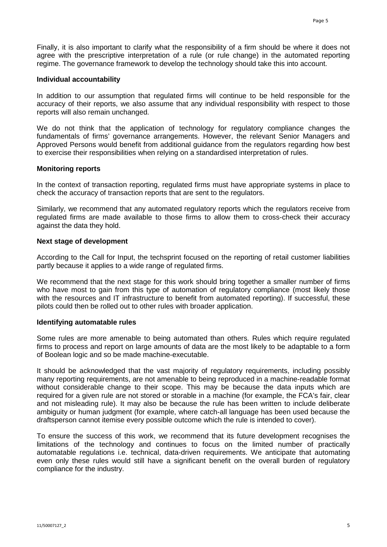Finally, it is also important to clarify what the responsibility of a firm should be where it does not agree with the prescriptive interpretation of a rule (or rule change) in the automated reporting regime. The governance framework to develop the technology should take this into account.

#### **Individual accountability**

In addition to our assumption that regulated firms will continue to be held responsible for the accuracy of their reports, we also assume that any individual responsibility with respect to those reports will also remain unchanged.

We do not think that the application of technology for regulatory compliance changes the fundamentals of firms' governance arrangements. However, the relevant Senior Managers and Approved Persons would benefit from additional guidance from the regulators regarding how best to exercise their responsibilities when relying on a standardised interpretation of rules.

#### **Monitoring reports**

In the context of transaction reporting, regulated firms must have appropriate systems in place to check the accuracy of transaction reports that are sent to the regulators.

Similarly, we recommend that any automated regulatory reports which the regulators receive from regulated firms are made available to those firms to allow them to cross-check their accuracy against the data they hold.

#### **Next stage of development**

According to the Call for Input, the techsprint focused on the reporting of retail customer liabilities partly because it applies to a wide range of regulated firms.

We recommend that the next stage for this work should bring together a smaller number of firms who have most to gain from this type of automation of regulatory compliance (most likely those with the resources and IT infrastructure to benefit from automated reporting). If successful, these pilots could then be rolled out to other rules with broader application.

#### **Identifying automatable rules**

Some rules are more amenable to being automated than others. Rules which require regulated firms to process and report on large amounts of data are the most likely to be adaptable to a form of Boolean logic and so be made machine-executable.

It should be acknowledged that the vast majority of regulatory requirements, including possibly many reporting requirements, are not amenable to being reproduced in a machine-readable format without considerable change to their scope. This may be because the data inputs which are required for a given rule are not stored or storable in a machine (for example, the FCA's fair, clear and not misleading rule). It may also be because the rule has been written to include deliberate ambiguity or human judgment (for example, where catch-all language has been used because the draftsperson cannot itemise every possible outcome which the rule is intended to cover).

To ensure the success of this work, we recommend that its future development recognises the limitations of the technology and continues to focus on the limited number of practically automatable regulations i.e. technical, data-driven requirements. We anticipate that automating even only these rules would still have a significant benefit on the overall burden of regulatory compliance for the industry.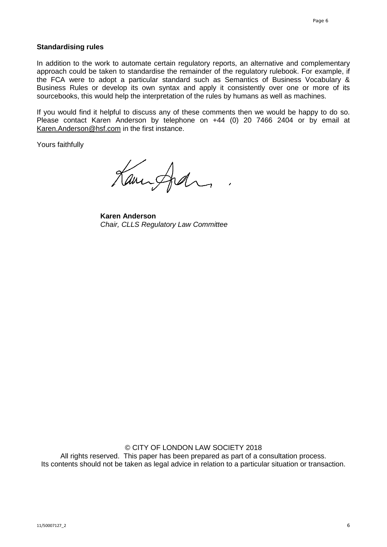## **Standardising rules**

In addition to the work to automate certain regulatory reports, an alternative and complementary approach could be taken to standardise the remainder of the regulatory rulebook. For example, if the FCA were to adopt a particular standard such as Semantics of Business Vocabulary & Business Rules or develop its own syntax and apply it consistently over one or more of its sourcebooks, this would help the interpretation of the rules by humans as well as machines.

If you would find it helpful to discuss any of these comments then we would be happy to do so. Please contact Karen Anderson by telephone on +44 (0) 20 7466 2404 or by email at [Karen.Anderson@hsf.com](mailto:Karen.Anderson@hsf.com) in the first instance.

Yours faithfully

Kannford

**Karen Anderson** *Chair, CLLS Regulatory Law Committee*

© CITY OF LONDON LAW SOCIETY 2018 All rights reserved. This paper has been prepared as part of a consultation process. Its contents should not be taken as legal advice in relation to a particular situation or transaction.